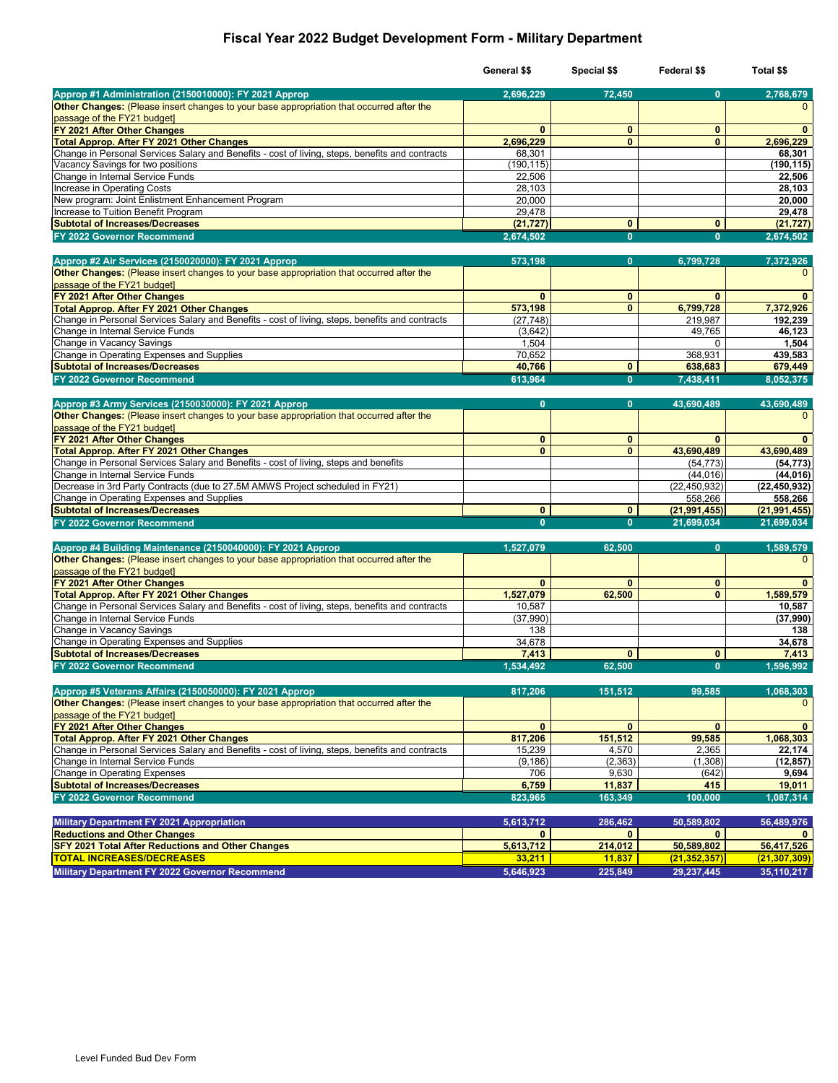## **Fiscal Year 2022 Budget Development Form - Military Department**

|                                                                                                                                                     | General \$\$              | Special \$\$            | Federal \$\$               | Total \$\$                |
|-----------------------------------------------------------------------------------------------------------------------------------------------------|---------------------------|-------------------------|----------------------------|---------------------------|
| Approp #1 Administration (2150010000): FY 2021 Approp                                                                                               | 2,696,229                 | 72,450                  | $\mathbf{0}$               | 2,768,679                 |
| Other Changes: (Please insert changes to your base appropriation that occurred after the                                                            |                           |                         |                            | $\mathbf{0}$              |
| passage of the FY21 budget]                                                                                                                         |                           |                         |                            |                           |
| FY 2021 After Other Changes                                                                                                                         | $\mathbf{0}$              | $\mathbf{0}$            | $\bf{0}$                   | $\mathbf{0}$              |
| <b>Total Approp. After FY 2021 Other Changes</b><br>Change in Personal Services Salary and Benefits - cost of living, steps, benefits and contracts | 2,696,229                 | $\mathbf{0}$            | $\mathbf{0}$               | 2,696,229                 |
| Vacancy Savings for two positions                                                                                                                   | 68,301<br>(190, 115)      |                         |                            | 68,301<br>(190, 115)      |
| Change in Internal Service Funds                                                                                                                    | 22,506                    |                         |                            | 22,506                    |
| Increase in Operating Costs                                                                                                                         | 28,103                    |                         |                            | 28,103                    |
| New program: Joint Enlistment Enhancement Program                                                                                                   | 20,000                    |                         |                            | 20,000                    |
| Increase to Tuition Benefit Program                                                                                                                 | 29,478                    |                         |                            | 29,478                    |
| <b>Subtotal of Increases/Decreases</b>                                                                                                              | (21, 727)                 | $\mathbf{0}$            | $\mathbf{0}$               | (21, 727)                 |
| FY 2022 Governor Recommend                                                                                                                          | 2,674,502                 | $\mathbf{0}$            | $\mathbf{0}$               | 2,674,502                 |
| Approp #2 Air Services (2150020000): FY 2021 Approp                                                                                                 |                           | 0                       |                            | 7,372,926                 |
| Other Changes: (Please insert changes to your base appropriation that occurred after the                                                            | 573,198                   |                         | 6,799,728                  | $\mathbf{0}$              |
| passage of the FY21 budget]                                                                                                                         |                           |                         |                            |                           |
| FY 2021 After Other Changes                                                                                                                         | $\mathbf{0}$              | $\mathbf{0}$            | $\mathbf{0}$               | $\mathbf{0}$              |
| <b>Total Approp. After FY 2021 Other Changes</b>                                                                                                    | 573,198                   | $\mathbf{0}$            | 6,799,728                  | 7,372,926                 |
| Change in Personal Services Salary and Benefits - cost of living, steps, benefits and contracts                                                     | (27, 748)                 |                         | 219,987                    | 192,239                   |
| Change in Internal Service Funds                                                                                                                    | (3,642)                   |                         | 49,765                     | 46,123                    |
| Change in Vacancy Savings                                                                                                                           | 1,504                     |                         | $\Omega$                   | 1,504                     |
| Change in Operating Expenses and Supplies                                                                                                           | 70,652<br>40.766          | $\mathbf{0}$            | 368,931                    | 439,583                   |
| <b>Subtotal of Increases/Decreases</b><br>FY 2022 Governor Recommend                                                                                | 613,964                   | $\mathbf{0}$            | 638,683<br>7,438,411       | 679,449<br>8,052,375      |
|                                                                                                                                                     |                           |                         |                            |                           |
| Approp #3 Army Services (2150030000): FY 2021 Approp                                                                                                | $\mathbf{0}$              | $\mathbf{0}$            | 43,690,489                 | 43,690,489                |
| Other Changes: (Please insert changes to your base appropriation that occurred after the                                                            |                           |                         |                            | $\mathbf{0}$              |
| passage of the FY21 budget]                                                                                                                         |                           |                         |                            |                           |
| FY 2021 After Other Changes                                                                                                                         | $\mathbf{0}$              | $\mathbf{0}$            | $\mathbf{0}$               | $\mathbf{0}$              |
| <b>Total Approp. After FY 2021 Other Changes</b>                                                                                                    | $\mathbf{0}$              | $\mathbf{0}$            | 43,690,489                 | 43.690.489                |
| Change in Personal Services Salary and Benefits - cost of living, steps and benefits                                                                |                           |                         | (54, 773)                  | (54, 773)                 |
| Change in Internal Service Funds                                                                                                                    |                           |                         | (44, 016)                  | (44,016)                  |
| Decrease in 3rd Party Contracts (due to 27.5M AMWS Project scheduled in FY21)<br>Change in Operating Expenses and Supplies                          |                           |                         | (22, 450, 932)<br>558,266  | (22, 450, 932)<br>558,266 |
| <b>Subtotal of Increases/Decreases</b>                                                                                                              | $\mathbf{0}$              | $\mathbf{0}$            | (21, 991, 455)             | (21, 991, 455)            |
| FY 2022 Governor Recommend                                                                                                                          | $\mathbf{0}$              | $\mathbf{0}$            | 21,699,034                 | 21,699,034                |
|                                                                                                                                                     |                           |                         |                            |                           |
| Approp #4 Building Maintenance (2150040000): FY 2021 Approp                                                                                         | 1,527,079                 | 62,500                  | $\mathbf{0}$               | 1,589,579                 |
| Other Changes: (Please insert changes to your base appropriation that occurred after the                                                            |                           |                         |                            | $\mathbf{0}$              |
| passage of the FY21 budget]                                                                                                                         |                           |                         |                            |                           |
| FY 2021 After Other Changes                                                                                                                         | $\mathbf{0}$              | $\mathbf{0}$            | $\mathbf{0}$               | $\mathbf{0}$              |
| <b>Total Approp. After FY 2021 Other Changes</b><br>Change in Personal Services Salary and Benefits - cost of living, steps, benefits and contracts | 1,527,079<br>10,587       | 62,500                  | $\mathbf{0}$               | 1,589,579<br>10,587       |
| Change in Internal Service Funds                                                                                                                    | (37,990)                  |                         |                            | (37,990)                  |
| Change in Vacancy Savings                                                                                                                           | 138                       |                         |                            | 138                       |
| Change in Operating Expenses and Supplies                                                                                                           | 34,678                    |                         |                            | 34,678                    |
| <b>Subtotal of Increases/Decreases</b>                                                                                                              | 7,413                     | $\mathbf{0}$            | $\mathbf{0}$               | 7,413                     |
| FY 2022 Governor Recommend                                                                                                                          | 1,534,492                 | 62,500                  | $\mathbf{0}$               | 1.596.992                 |
|                                                                                                                                                     |                           |                         |                            |                           |
| Approp #5 Veterans Affairs (2150050000): FY 2021 Approp                                                                                             | 817,206                   | 151,512                 | 99,585                     | 1,068,303                 |
| Other Changes: (Please insert changes to your base appropriation that occurred after the<br>passage of the FY21 budget]                             |                           |                         |                            | $\mathbf{0}$              |
| FY 2021 After Other Changes                                                                                                                         | $\mathbf{0}$              | $\mathbf{0}$            | $\mathbf{0}$               | $\mathbf{0}$              |
| <b>Total Approp. After FY 2021 Other Changes</b>                                                                                                    | 817,206                   | 151,512                 | 99,585                     | 1,068,303                 |
| Change in Personal Services Salary and Benefits - cost of living, steps, benefits and contracts                                                     | 15,239                    | 4,570                   | 2,365                      | 22,174                    |
| Change in Internal Service Funds                                                                                                                    | (9, 186)                  | (2, 363)                | (1,308)                    | (12, 857)                 |
| Change in Operating Expenses                                                                                                                        | 706                       | 9,630                   | (642)                      | 9,694                     |
| <b>Subtotal of Increases/Decreases</b>                                                                                                              | 6,759                     | 11,837                  | 415                        | 19,011                    |
| FY 2022 Governor Recommend                                                                                                                          | 823,965                   | 163.349                 | 100.000                    | 1,087,314                 |
|                                                                                                                                                     |                           |                         |                            |                           |
| <b>Military Department FY 2021 Appropriation</b><br><b>Reductions and Other Changes</b>                                                             | 5,613,712<br>$\mathbf{0}$ | 286,462<br>$\mathbf{0}$ | 50,589,802<br>$\mathbf{0}$ | 56,489,976<br>0           |
| <b>SFY 2021 Total After Reductions and Other Changes</b>                                                                                            | 5,613,712                 | 214,012                 | 50,589,802                 | 56,417,526                |
| <b>TOTAL INCREASES/DECREASES</b>                                                                                                                    | 33,211                    | 11,837                  | (21, 352, 357)             | (21, 307, 309)            |
| Military Department FY 2022 Governor Recommend                                                                                                      | 5,646,923                 | 225,849                 | 29,237,445                 | 35,110,217                |
|                                                                                                                                                     |                           |                         |                            |                           |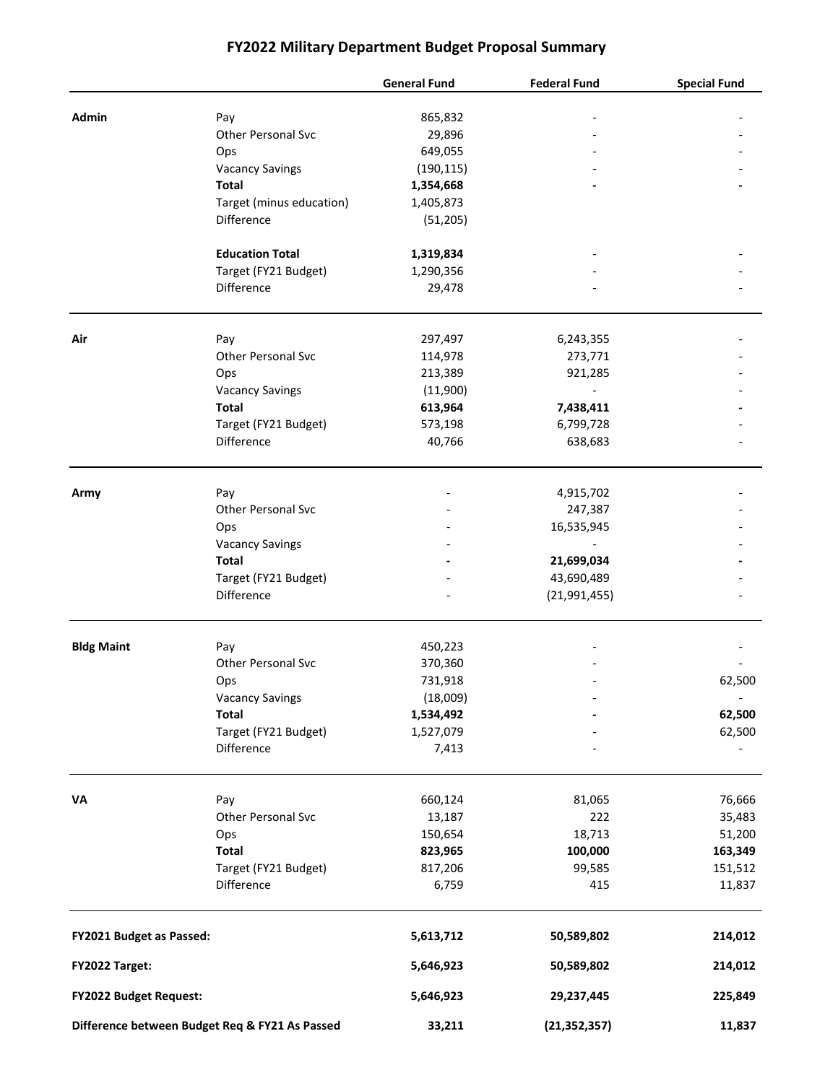# **FY2022 Military Department Budget Proposal Summary**

|                                                |                                  | <b>General Fund</b>   | <b>Federal Fund</b> | <b>Special Fund</b>      |
|------------------------------------------------|----------------------------------|-----------------------|---------------------|--------------------------|
| Admin                                          |                                  |                       |                     |                          |
|                                                | Pay<br><b>Other Personal Svc</b> | 865,832<br>29,896     |                     |                          |
|                                                | Ops                              | 649,055               |                     |                          |
|                                                | <b>Vacancy Savings</b>           | (190, 115)            |                     |                          |
|                                                | <b>Total</b>                     | 1,354,668             |                     |                          |
|                                                | Target (minus education)         | 1,405,873             |                     |                          |
|                                                | Difference                       | (51, 205)             |                     |                          |
|                                                |                                  |                       |                     |                          |
|                                                | <b>Education Total</b>           | 1,319,834             |                     |                          |
|                                                | Target (FY21 Budget)             | 1,290,356             |                     |                          |
|                                                | Difference                       | 29,478                |                     |                          |
| Air                                            | Pay                              | 297,497               | 6,243,355           |                          |
|                                                | <b>Other Personal Svc</b>        | 114,978               | 273,771             |                          |
|                                                | Ops                              | 213,389               | 921,285             |                          |
|                                                | <b>Vacancy Savings</b>           | (11,900)              | $\overline{a}$      |                          |
|                                                | <b>Total</b>                     | 613,964               | 7,438,411           |                          |
|                                                | Target (FY21 Budget)             | 573,198               | 6,799,728           |                          |
|                                                | Difference                       | 40,766                | 638,683             |                          |
|                                                |                                  |                       |                     |                          |
| Army                                           | Pay                              |                       | 4,915,702           |                          |
|                                                | <b>Other Personal Svc</b>        |                       | 247,387             |                          |
|                                                | Ops                              |                       | 16,535,945          |                          |
|                                                | <b>Vacancy Savings</b>           |                       |                     |                          |
|                                                | <b>Total</b>                     |                       | 21,699,034          |                          |
|                                                | Target (FY21 Budget)             |                       | 43,690,489          |                          |
|                                                | Difference                       |                       | (21, 991, 455)      |                          |
| <b>Bldg Maint</b>                              |                                  |                       |                     |                          |
|                                                | Pay<br><b>Other Personal Svc</b> | 450,223               |                     |                          |
|                                                |                                  | 370,360<br>731,918    |                     | 62,500                   |
|                                                | Ops<br><b>Vacancy Savings</b>    |                       |                     | $\overline{\phantom{a}}$ |
|                                                | <b>Total</b>                     | (18,009)<br>1,534,492 |                     | 62,500                   |
|                                                | Target (FY21 Budget)             | 1,527,079             |                     | 62,500                   |
|                                                | Difference                       | 7,413                 |                     |                          |
|                                                |                                  |                       |                     |                          |
| VA                                             | Pay                              | 660,124               | 81,065              | 76,666                   |
|                                                | Other Personal Svc               | 13,187                | 222                 | 35,483                   |
|                                                | Ops                              | 150,654               | 18,713              | 51,200                   |
|                                                | <b>Total</b>                     | 823,965               | 100,000             | 163,349                  |
|                                                | Target (FY21 Budget)             | 817,206               | 99,585              | 151,512                  |
|                                                | Difference                       | 6,759                 | 415                 | 11,837                   |
| FY2021 Budget as Passed:                       |                                  | 5,613,712             | 50,589,802          | 214,012                  |
| FY2022 Target:                                 |                                  | 5,646,923             | 50,589,802          | 214,012                  |
| FY2022 Budget Request:                         |                                  | 5,646,923             | 29,237,445          | 225,849                  |
| Difference between Budget Req & FY21 As Passed |                                  | 33,211                | (21, 352, 357)      | 11,837                   |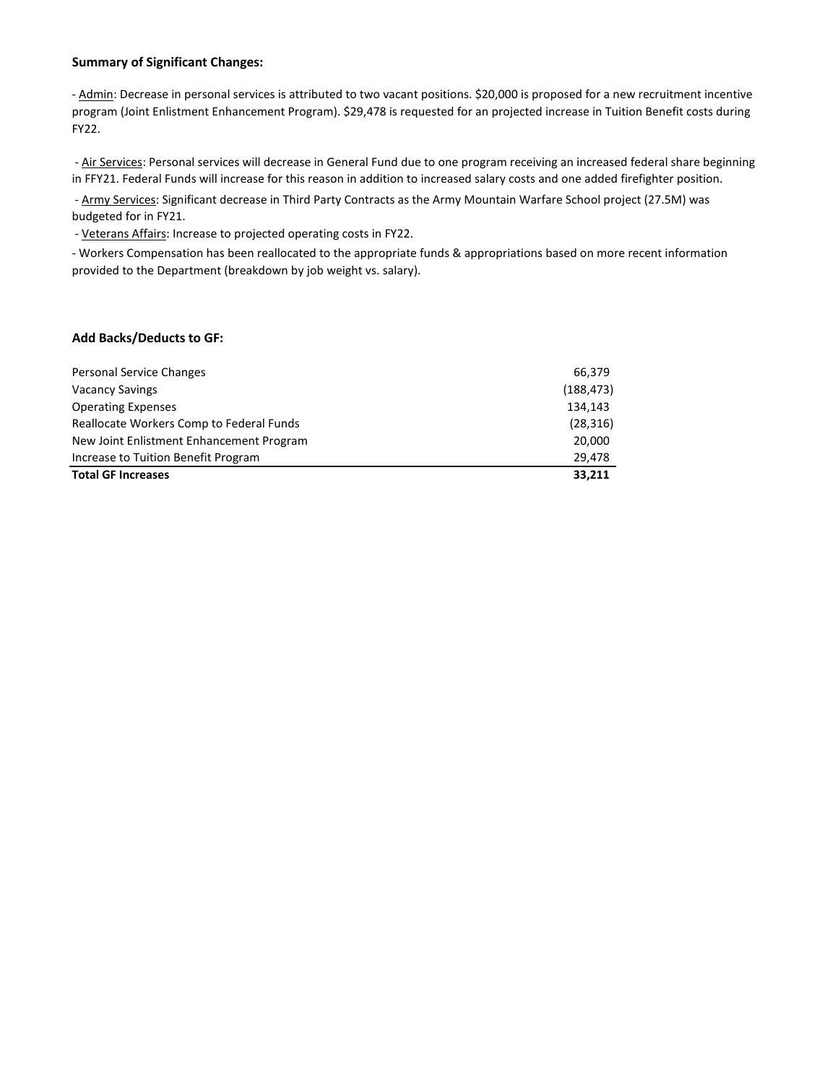#### **Summary of Significant Changes:**

- Admin: Decrease in personal services is attributed to two vacant positions. \$20,000 is proposed for a new recruitment incentive program (Joint Enlistment Enhancement Program). \$29,478 is requested for an projected increase in Tuition Benefit costs during FY22.

- Air Services: Personal services will decrease in General Fund due to one program receiving an increased federal share beginning in FFY21. Federal Funds will increase for this reason in addition to increased salary costs and one added firefighter position.

- Army Services: Significant decrease in Third Party Contracts as the Army Mountain Warfare School project (27.5M) was budgeted for in FY21.

- Veterans Affairs: Increase to projected operating costs in FY22.

- Workers Compensation has been reallocated to the appropriate funds & appropriations based on more recent information provided to the Department (breakdown by job weight vs. salary).

#### **Add Backs/Deducts to GF:**

| Personal Service Changes                 | 66,379     |
|------------------------------------------|------------|
| <b>Vacancy Savings</b>                   | (188, 473) |
| <b>Operating Expenses</b>                | 134,143    |
| Reallocate Workers Comp to Federal Funds | (28, 316)  |
| New Joint Enlistment Enhancement Program | 20,000     |
| Increase to Tuition Benefit Program      | 29.478     |
| <b>Total GF Increases</b>                | 33,211     |